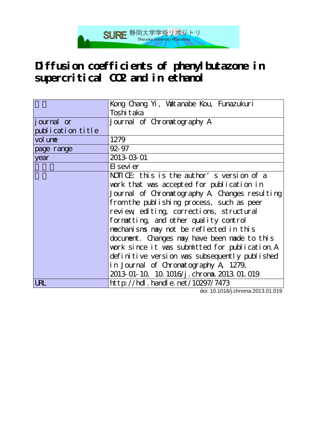# **Diffusion coefficients of phenylbutazone in supercritical CO2 and in ethanol**

SURE 静岡大学学術リポジトリ

|                   | Kong Chang Yi, Watanabe Kou, Funazukuri        |  |  |  |
|-------------------|------------------------------------------------|--|--|--|
|                   | Toshi taka                                     |  |  |  |
| journal or        | Journal of Chronatography A                    |  |  |  |
| publication title |                                                |  |  |  |
| vol une           | 1279                                           |  |  |  |
| page range        | $92 - 97$                                      |  |  |  |
| year              | 2013-03-01                                     |  |  |  |
|                   | El sevi er                                     |  |  |  |
|                   | NOTICE: this is the author's version of a      |  |  |  |
|                   | work that was accepted for publication in      |  |  |  |
|                   | Journal of Chromatography A Changes resulting  |  |  |  |
|                   | from the publishing process, such as peer      |  |  |  |
|                   | review editing, corrections, structural        |  |  |  |
|                   | formatting, and other quality control          |  |  |  |
|                   | nechanisms may not be reflected in this        |  |  |  |
|                   | document. Changes may have been made to this   |  |  |  |
|                   | work since it was submitted for publication. A |  |  |  |
|                   | definitive version was subsequently published  |  |  |  |
|                   | in Journal of Chromatography A 1279,           |  |  |  |
|                   | 2013 01-10, 10. 1016/j. chrona. 2013. 01. 019  |  |  |  |
| UL                | http://hdl.handle.net/10297/7473               |  |  |  |

doi: 10.1016/j.chroma.2013.01.019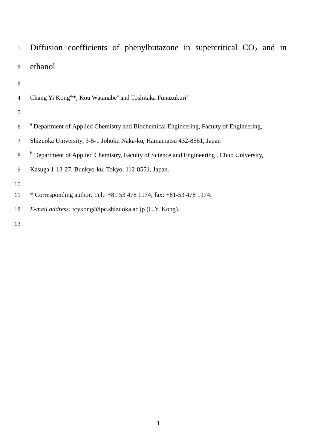- 1 Diffusion coefficients of phenylbutazone in supercritical  $CO<sub>2</sub>$  and in ethanol
- 

| $4\phantom{.0000}\,$ | Chang Yi Kong <sup>a,*</sup> , Kou Watanabe <sup>a</sup> and Toshitaka Funazukuri <sup>b</sup> |  |  |  |  |
|----------------------|------------------------------------------------------------------------------------------------|--|--|--|--|
|----------------------|------------------------------------------------------------------------------------------------|--|--|--|--|

- 
- <sup>a</sup> Department of Applied Chemistry and Biochemical Engineering, Faculty of Engineering,
- Shizuoka University, 3-5-1 Johoku Naka-ku, Hamamatsu 432-8561, Japan
- <sup>b</sup> Department of Applied Chemistry, Faculty of Science and Engineering, Chuo University,
- Kasuga 1-13-27, Bunkyo-ku, Tokyo, 112-8551, Japan.
- 
- \* Corresponding author. Tel.: +81 53 478 1174; fax: +81-53 478 1174.
- *E-mail address:* [tcykong@ipc.shizuoka.ac.jp](mailto:tcykong@ipc.shizuoka.ac.jp) (C.Y. Kong).
-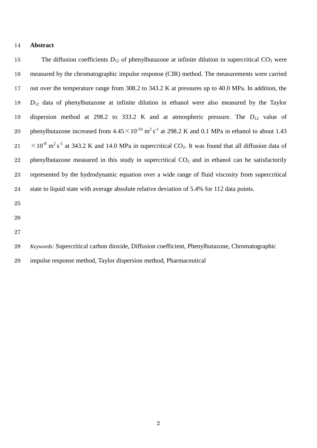#### **Abstract**

15 The diffusion coefficients  $D_{12}$  of phenylbutazone at infinite dilution in supercritical  $CO_2$  were measured by the chromatographic impulse response (CIR) method. The measurements were carried out over the temperature range from 308.2 to 343.2 K at pressures up to 40.0 MPa. In addition, the *D*<sup>12</sup> data of phenylbutazone at infinite dilution in ethanol were also measured by the Taylor dispersion method at 298.2 to 333.2 K and at atmospheric pressure. The *D*<sup>12</sup> value of 20 phenylbutazone increased from  $4.45 \times 10^{-10}$  m<sup>2</sup> s<sup>-1</sup> at 298.2 K and 0.1 MPa in ethanol to about 1.43  $21 \times 10^{-8}$  m<sup>2</sup> s<sup>-1</sup> at 343.2 K and 14.0 MPa in supercritical CO<sub>2</sub>. It was found that all diffusion data of 22 phenylbutazone measured in this study in supercritical  $CO<sub>2</sub>$  and in ethanol can be satisfactorily represented by the hydrodynamic equation over a wide range of fluid viscosity from supercritical state to liquid state with average absolute relative deviation of 5.4% for 112 data points.

*Keywords:* Supercritical carbon dioxide, Diffusion coefficient, Phenylbutazone, Chromatographic

impulse response method, Taylor dispersion method, Pharmaceutical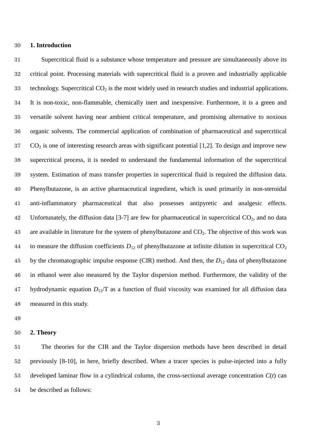#### **1. Introduction**

 Supercritical fluid is a substance whose temperature and pressure are simultaneously above its critical point. Processing materials with supercritical fluid is a proven and industrially applicable 33 technology. Supercritical  $CO<sub>2</sub>$  is the most widely used in research studies and industrial applications. It is non-toxic, non-flammable, chemically inert and inexpensive. Furthermore, it is a green and versatile solvent having near ambient critical temperature, and promising alternative to noxious organic solvents. The commercial application of combination of pharmaceutical and supercritical CO<sub>2</sub> is one of interesting research areas with significant potential [1,2]. To design and improve new supercritical process, it is needed to understand the fundamental information of the supercritical system. Estimation of mass transfer properties in supercritical fluid is required the diffusion data. Phenylbutazone, is an active pharmaceutical ingredient, which is used primarily in non-steroidal anti-inflammatory pharmaceutical that also possesses antipyretic and analgesic effects. 42 Unfortunately, the diffusion data [3-7] are few for pharmaceutical in supercritical  $CO<sub>2</sub>$ , and no data 43 are available in literature for the system of phenylbutazone and  $CO<sub>2</sub>$ . The objective of this work was 44 to measure the diffusion coefficients  $D_{12}$  of phenylbutazone at infinite dilution in supercritical  $CO<sub>2</sub>$  by the chromatographic impulse response (CIR) method. And then, the *D*<sup>12</sup> data of phenylbutazone in ethanol were also measured by the Taylor dispersion method. Furthermore, the validity of the hydrodynamic equation *D*12/T as a function of fluid viscosity was examined for all diffusion data measured in this study.

#### **2. Theory**

 The theories for the CIR and the Taylor dispersion methods have been described in detail previously [8-10], in here, briefly described. When a tracer species is pulse-injected into a fully developed laminar flow in a cylindrical column, the cross-sectional average concentration *C*(*t*) can be described as follows: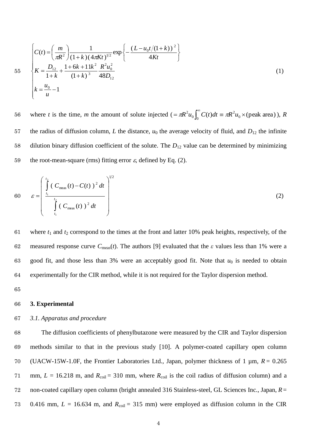$$
55 \qquad \begin{cases} C(t) = \left(\frac{m}{\pi R^2}\right) \frac{1}{(1+k)(4\pi Kt)^{1/2}} \exp\left\{-\frac{(L - u_0 t/(1+k))^2}{4Kt}\right\} \\ K = \frac{D_{12}}{1+k} + \frac{1+6k+11k^2}{(1+k)^3} \frac{R^2 u_0^2}{48D_{12}} \\ k = \frac{u_0}{u} - 1 \end{cases} \tag{1}
$$

where *t* is the time, *m* the amount of solute injected  $(=\pi R^2 u_0 \int_0^{\infty} C(t) dt = \pi R^2 u_0 \times$  (peak area) 2  $\mathfrak{o}$ <sub>0</sub>  $= \pi R^2 u_0 \int_0^\infty C(t) dt = \pi R^2 u_0 \times \text{(peak area)}$ , *R* 56 57 the radius of diffusion column, *L* the distance,  $u_0$  the average velocity of fluid, and  $D_{12}$  the infinite 58 dilution binary diffusion coefficient of the solute. The *D*<sup>12</sup> value can be determined by minimizing 59 the root-mean-square (rms) fitting error  $\varepsilon$ , defined by Eq. (2).

60 
$$
\varepsilon = \left(\int_{t_1}^{t_2} (C_{\text{meas}}(t) - C(t))^2 dt \right)^{1/2}
$$
  
\n
$$
\int_{t_1}^{t_2} (C_{\text{meas}}(t))^2 dt \qquad (2)
$$

61 where  $t_1$  and  $t_2$  correspond to the times at the front and latter 10% peak heights, respectively, of the 62 measured response curve *C*meas(*t*). The authors [9] evaluated that the *ε* values less than 1% were a 63 good fit, and those less than  $3\%$  were an acceptably good fit. Note that  $u_0$  is needed to obtain 64 experimentally for the CIR method, while it is not required for the Taylor dispersion method.

65

#### 66 **3. Experimental**

#### 67 *3.1. Apparatus and procedure*

 The diffusion coefficients of phenylbutazone were measured by the CIR and Taylor dispersion methods similar to that in the previous study [10]. A polymer-coated capillary open column (UACW-15W-1.0F, the Frontier Laboratories Ltd., Japan, polymer thickness of 1 µm, *R* = 0.265 71 mm,  $L = 16.218$  m, and  $R_{\text{coil}} = 310$  mm, where  $R_{\text{coil}}$  is the coil radius of diffusion column) and a non-coated capillary open column (bright annealed 316 Stainless-steel, GL Sciences Inc., Japan, *R*= 73 0.416 mm,  $L = 16.634$  m, and  $R_{\text{coil}} = 315$  mm) were employed as diffusion column in the CIR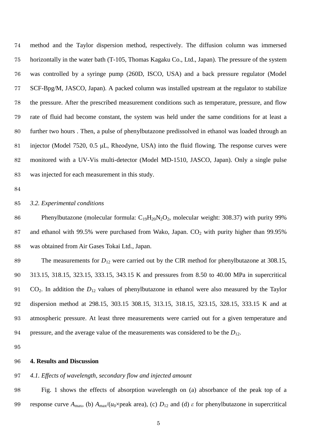method and the Taylor dispersion method, respectively. The diffusion column was immersed horizontally in the water bath (T-105, Thomas Kagaku Co., Ltd., Japan). The pressure of the system was controlled by a syringe pump (260D, ISCO, USA) and a back pressure regulator (Model SCF-Bpg/M, JASCO, Japan). A packed column was installed upstream at the regulator to stabilize the pressure. After the prescribed measurement conditions such as temperature, pressure, and flow rate of fluid had become constant, the system was held under the same conditions for at least a further two hours . Then, a pulse of phenylbutazone predissolved in ethanol was loaded through an injector (Model 7520, 0.5 μL, Rheodyne, USA) into the fluid flowing. The response curves were monitored with a UV-Vis multi-detector (Model MD-1510, JASCO, Japan). Only a single pulse was injected for each measurement in this study.

#### *3.2. Experimental conditions*

86 Phenylbutazone (molecular formula:  $C_{19}H_{20}N_2O_2$ , molecular weight: 308.37) with purity 99% 87 and ethanol with 99.5% were purchased from Wako, Japan.  $CO<sub>2</sub>$  with purity higher than 99.95% was obtained from Air Gases Tokai Ltd., Japan.

89 The measurements for  $D_{12}$  were carried out by the CIR method for phenylbutazone at 308.15, 313.15, 318.15, 323.15, 333.15, 343.15 K and pressures from 8.50 to 40.00 MPa in supercritical CO2. In addition the *D*<sup>12</sup> values of phenylbutazone in ethanol were also measured by the Taylor dispersion method at 298.15, 303.15 308.15, 313.15, 318.15, 323.15, 328.15, 333.15 K and at atmospheric pressure. At least three measurements were carried out for a given temperature and 94 pressure, and the average value of the measurements was considered to be the  $D_{12}$ .

#### **4. Results and Discussion**

#### *4.1. Effects of wavelength, secondary flow and injected amount*

 Fig. 1 shows the effects of absorption wavelength on (a) absorbance of the peak top of a 99 response curve  $A_{\text{max}}$ , (b)  $A_{\text{max}}/(u_0 \times \text{peak area})$ , (c)  $D_{12}$  and (d)  $\varepsilon$  for phenylbutazone in supercritical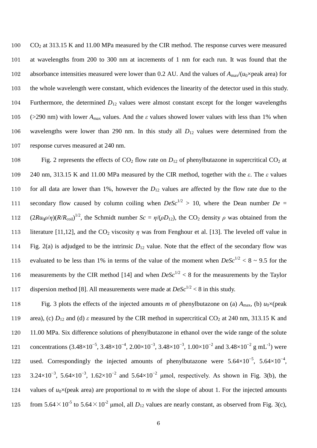CO<sup>2</sup> at 313.15 K and 11.00 MPa measured by the CIR method. The response curves were measured at wavelengths from 200 to 300 nm at increments of 1 nm for each run. It was found that the 102 absorbance intensities measured were lower than 0.2 AU. And the values of  $A_{\text{max}}/(u_0 \times \text{peak}$  area) for the whole wavelength were constant, which evidences the linearity of the detector used in this study. Furthermore, the determined *D*<sup>12</sup> values were almost constant except for the longer wavelengths 105 (>290 nm) with lower  $A_{\text{max}}$  values. And the *ε* values showed lower values with less than 1% when wavelengths were lower than 290 nm. In this study all *D*<sup>12</sup> values were determined from the response curves measured at 240 nm.

108 Fig. 2 represents the effects of  $CO_2$  flow rate on  $D_{12}$  of phenylbutazone in supercritical  $CO_2$  at 109 240 nm, 313.15 K and 11.00 MPa measured by the CIR method, together with the *ε*. The *ε* values 110 for all data are lower than 1%, however the  $D_{12}$  values are affected by the flow rate due to the 111 secondary flow caused by column coiling when  $DeSc^{1/2} > 10$ , where the Dean number  $De =$ 112  $(2Ru_0\rho/\eta)(R/R_{\text{coil}})^{1/2}$ , the Schmidt number  $Sc = \eta/(\rho D_{12})$ , the CO<sub>2</sub> density  $\rho$  was obtained from the 113 literature [11,12], and the CO<sup>2</sup> viscosity *η* was from Fenghour et al. [13]. The leveled off value in 114 Fig. 2(a) is adjudged to be the intrinsic *D*<sup>12</sup> value. Note that the effect of the secondary flow was 115 evaluated to be less than 1% in terms of the value of the moment when  $DeSc^{1/2} < 8 \sim 9.5$  for the 116 measurements by the CIR method [14] and when  $DeSc^{1/2} < 8$  for the measurements by the Taylor 117 dispersion method [8]. All measurements were made at  $DeSc^{1/2} < 8$  in this study.

118 Fig. 3 plots the effects of the injected amounts *m* of phenylbutazone on (a)  $A_{\text{max}}$ , (b)  $u_0 \times (\text{peak})$ 119 area), (c)  $D_{12}$  and (d)  $\varepsilon$  measured by the CIR method in supercritical CO<sub>2</sub> at 240 nm, 313.15 K and 120 11.00 MPa. Six difference solutions of phenylbutazone in ethanol over the wide range of the solute 121 concentrations  $(3.48\times10^{-5}, 3.48\times10^{-4}, 2.00\times10^{-3}, 3.48\times10^{-3}, 1.00\times10^{-2}$  and  $3.48\times10^{-2}$  g mL<sup>-1</sup>) were 122 used. Correspondingly the injected amounts of phenylbutazone were 5.64×10<sup>-5</sup>, 5.64×10<sup>-4</sup>, 123 3.24×10<sup>-3</sup>, 5.64×10<sup>-3</sup>, 1.62×10<sup>-2</sup> and 5.64×10<sup>-2</sup> µmol, respectively. As shown in Fig. 3(b), the 124 values of  $u_0 \times$ (peak area) are proportional to *m* with the slope of about 1. For the injected amounts 125 from 5.64 $\times$ 10<sup>-5</sup> to 5.64 $\times$ 10<sup>-2</sup> µmol, all *D*<sub>12</sub> values are nearly constant, as observed from Fig. 3(c),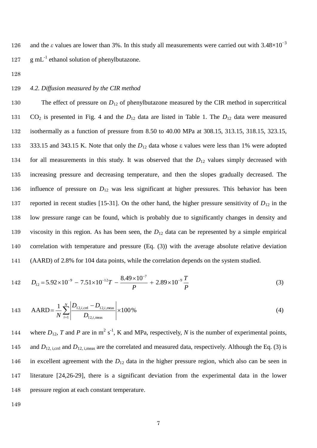and the  $\varepsilon$  values are lower than 3%. In this study all measurements were carried out with 3.48×10<sup>-3</sup> 126  $127 \text{ g } mL^{-1}$  ethanol solution of phenylbutazone.

128

#### 129 *4.2. Diffusion measured by the CIR method*

130 The effect of pressure on  $D_{12}$  of phenylbutazone measured by the CIR method in supercritical CO<sup>2</sup> is presented in Fig. 4 and the *D*<sup>12</sup> data are listed in Table 1. The *D*<sup>12</sup> data were measured isothermally as a function of pressure from 8.50 to 40.00 MPa at 308.15, 313.15, 318.15, 323.15, 333.15 and 343.15 K. Note that only the *D*<sup>12</sup> data whose ε values were less than 1% were adopted 134 for all measurements in this study. It was observed that the  $D_{12}$  values simply decreased with increasing pressure and decreasing temperature, and then the slopes gradually decreased. The influence of pressure on *D*<sup>12</sup> was less significant at higher pressures. This behavior has been 137 reported in recent studies [15-31]. On the other hand, the higher pressure sensitivity of  $D_{12}$  in the low pressure range can be found, which is probably due to significantly changes in density and viscosity in this region. As has been seen, the *D*<sup>12</sup> data can be represented by a simple empirical correlation with temperature and pressure (Eq. (3)) with the average absolute relative deviation (AARD) of 2.8% for 104 data points, while the correlation depends on the system studied.

142 
$$
D_{12} = 5.92 \times 10^{-9} - 7.51 \times 10^{-12}T - \frac{8.49 \times 10^{-7}}{P} + 2.89 \times 10^{-9} \frac{T}{P}
$$
 (3)

143 
$$
AARD = \frac{1}{N} \sum_{i=1}^{N} \left| \frac{D_{12,i,\text{cm}} - D_{12,i,\text{meas}}}{D_{12,i,\text{meas}}} \right| \times 100\%
$$
 (4)

144 where  $D_{12}$ , *T* and *P* are in m<sup>2</sup> s<sup>-1</sup>, K and MPa, respectively, *N* is the number of experimental points, 145 and  $D_{12, \text{i,crd}}$  and  $D_{12, \text{i,meas}}$  are the correlated and measured data, respectively. Although the Eq. (3) is 146 in excellent agreement with the *D*<sup>12</sup> data in the higher pressure region, which also can be seen in 147 literature [24,26-29], there is a significant deviation from the experimental data in the lower 148 pressure region at each constant temperature.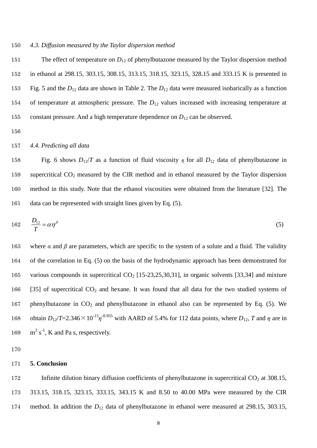#### 150 *4.3. Diffusion measured by the Taylor dispersion method*

151 The effect of temperature on  $D_{12}$  of phenylbutazone measured by the Taylor dispersion method in ethanol at 298.15, 303.15, 308.15, 313.15, 318.15, 323.15, 328.15 and 333.15 K is presented in Fig. 5 and the *D*<sup>12</sup> data are shown in Table 2. The *D*<sup>12</sup> data were measured isobarically as a function of temperature at atmospheric pressure. The *D*<sup>12</sup> values increased with increasing temperature at constant pressure. And a high temperature dependence on *D*<sup>12</sup> can be observed.

156

#### 157 *4.4. Predicting all data*

158 Fig. 6 shows  $D_{12}/T$  as a function of fluid viscosity *η* for all  $D_{12}$  data of phenylbutazone in 159 supercritical CO<sup>2</sup> measured by the CIR method and in ethanol measured by the Taylor dispersion 160 method in this study. Note that the ethanol viscosities were obtained from the literature [32]. The 161 data can be represented with straight lines given by Eq. (5).

$$
162 \qquad \frac{D_{12}}{T} = \alpha \eta^{\beta} \tag{5}
$$

163 where  $\alpha$  and  $\beta$  are parameters, which are specific to the system of a solute and a fluid. The validity 164 of the correlation in Eq. (5) on the basis of the hydrodynamic approach has been demonstrated for 165 various compounds in supercritical  $CO<sub>2</sub>$  [15-23,25,30,31], in organic solvents [33,34] and mixture 166 [35] of supercritical  $CO<sub>2</sub>$  and hexane. It was found that all data for the two studied systems of 167 phenylbutazone in  $CO<sub>2</sub>$  and phenylbutazone in ethanol also can be represented by Eq. (5). We 168 obtain  $D_{12}/T=2.346\times10^{-15}\eta^{-0.955}$  with AARD of 5.4% for 112 data points, where  $D_{12}$ , *T* and  $\eta$  are in 169  $\text{m}^2 \text{ s}^{-1}$ , K and Pa s, respectively.

170

#### 171 **5. Conclusion**

172 Infinite dilution binary diffusion coefficients of phenylbutazone in supercritical CO<sub>2</sub> at 308.15, 173 313.15, 318.15, 323.15, 333.15, 343.15 K and 8.50 to 40.00 MPa were measured by the CIR 174 method. In addition the  $D_{12}$  data of phenylbutazone in ethanol were measured at 298.15, 303.15,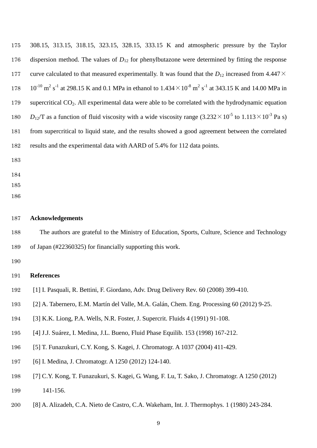308.15, 313.15, 318.15, 323.15, 328.15, 333.15 K and atmospheric pressure by the Taylor dispersion method. The values of *D*<sup>12</sup> for phenylbutazone were determined by fitting the response 177 curve calculated to that measured experimentally. It was found that the  $D_{12}$  increased from 4.447 $\times$  $10^{-10}$  m<sup>2</sup> s<sup>-1</sup> at 298.15 K and 0.1 MPa in ethanol to  $1.434 \times 10^{-8}$  m<sup>2</sup> s<sup>-1</sup> at 343.15 K and 14.00 MPa in 179 supercritical CO<sub>2</sub>. All experimental data were able to be correlated with the hydrodynamic equation  $D_{12}/T$  as a function of fluid viscosity with a wide viscosity range  $(3.232 \times 10^{-5}$  to  $1.113 \times 10^{-3}$  Pa s) from supercritical to liquid state, and the results showed a good agreement between the correlated results and the experimental data with AARD of 5.4% for 112 data points.

- 
- 
- 
- 

#### **Acknowledgements**

 The authors are grateful to the Ministry of Education, Sports, Culture, Science and Technology of Japan (#22360325) for financially supporting this work.

#### **References**

- [1] I. Pasquali, R. Bettini, F. Giordano, Adv. Drug Delivery Rev. 60 (2008) 399-410.
- [2] A. Tabernero, E.M. Martín del Valle, M.A. Galán, Chem. Eng. Processing 60 (2012) 9-25.
- [3] K.K. Liong, P.A. Wells, N.R. Foster, J. Supercrit. Fluids 4 (1991) 91-108.
- [4] J.J. Suárez, I. Medina, J.L. Bueno, Fluid Phase Equilib. 153 (1998) 167-212.
- [5] T. Funazukuri, C.Y. Kong, S. Kagei, J. Chromatogr. A 1037 (2004) 411-429.
- [6] I. Medina, J. Chromatogr. A 1250 (2012) 124-140.
- [7] C.Y. Kong, T. Funazukuri, S. Kagei, G. Wang, F. Lu, T. Sako, J. Chromatogr. A 1250 (2012) 141-156.
- [8] A. Alizadeh, C.A. Nieto de Castro, C.A. Wakeham, Int. J. Thermophys. 1 (1980) 243-284.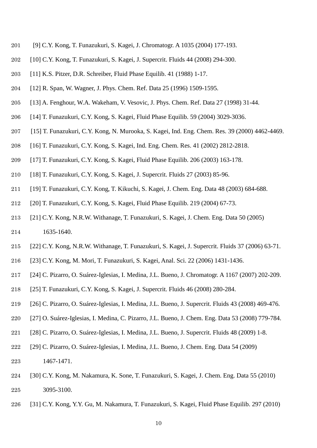- [9] C.Y. Kong, T. Funazukuri, S. Kagei, J. Chromatogr. A 1035 (2004) 177-193.
- [10] C.Y. Kong, T. Funazukuri, S. Kagei, J. Supercrit. Fluids 44 (2008) 294-300.
- [11] K.S. Pitzer, D.R. Schreiber, Fluid Phase Equilib. 41 (1988) 1-17.
- [12] R. Span, W. Wagner, J. Phys. Chem. Ref. Data 25 (1996) 1509-1595.
- [13] A. Fenghour, W.A. Wakeham, V. Vesovic, J. Phys. Chem. Ref. Data 27 (1998) 31-44.
- [14] T. Funazukuri, C.Y. Kong, S. Kagei, Fluid Phase Equilib. 59 (2004) 3029-3036.
- [15] T. Funazukuri, C.Y. Kong, N. Murooka, S. Kagei, Ind. Eng. Chem. Res. 39 (2000) 4462-4469.
- [16] T. Funazukuri, C.Y. Kong, S. Kagei, Ind. Eng. Chem. Res. 41 (2002) 2812-2818.
- [17] T. Funazukuri, C.Y. Kong, S. Kagei, Fluid Phase Equilib. 206 (2003) 163-178.
- [18] T. Funazukuri, C.Y. Kong, S. Kagei, J. Supercrit. Fluids 27 (2003) 85-96.
- [19] T. Funazukuri, C.Y. Kong, T. Kikuchi, S. Kagei, J. Chem. Eng. Data 48 (2003) 684-688.
- [20] T. Funazukuri, C.Y. Kong, S. Kagei, Fluid Phase Equilib. 219 (2004) 67-73.
- [21] C.Y. Kong, N.R.W. Withanage, T. Funazukuri, S. Kagei, J. Chem. Eng. Data 50 (2005) 1635-1640.
- [22] C.Y. Kong, N.R.W. Withanage, T. Funazukuri, S. Kagei, J. Supercrit. Fluids 37 (2006) 63-71.
- [23] C.Y. Kong, M. Mori, T. Funazukuri, S. Kagei, Anal. Sci. 22 (2006) 1431-1436.
- [24] C. Pizarro, O. Suárez-Iglesias, I. Medina, J.L. Bueno, J. Chromatogr. A 1167 (2007) 202-209.
- [25] T. Funazukuri, C.Y. Kong, S. Kagei, J. Supercrit. Fluids 46 (2008) 280-284.
- [26] C. Pizarro, O. Suárez-Iglesias, I. Medina, J.L. Bueno, J. Supercrit. Fluids 43 (2008) 469-476.
- [27] O. Suárez-Iglesias, I. Medina, C. Pizarro, J.L. Bueno, J. Chem. Eng. Data 53 (2008) 779-784.
- [28] C. Pizarro, O. Suárez-Iglesias, I. Medina, J.L. Bueno, J. Supercrit. Fluids 48 (2009) 1-8.
- [29] C. Pizarro, O. Suárez-Iglesias, I. Medina, J.L. Bueno, J. Chem. Eng. Data 54 (2009) 1467-1471.
- [30] C.Y. Kong, M. Nakamura, K. Sone, T. Funazukuri, S. Kagei, J. Chem. Eng. Data 55 (2010) 3095-3100.
- [31] C.Y. Kong, Y.Y. Gu, M. Nakamura, T. Funazukuri, S. Kagei, Fluid Phase Equilib. 297 (2010)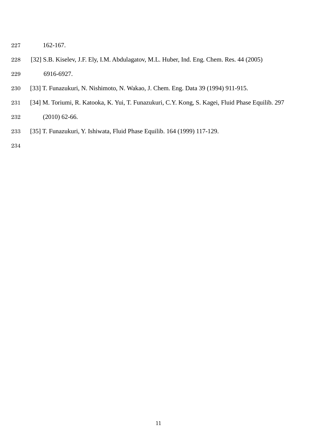- 162-167.
- [32] S.B. Kiselev, J.F. Ely, I.M. Abdulagatov, M.L. Huber, Ind. Eng. Chem. Res. 44 (2005) 6916-6927.
- [33] T. Funazukuri, N. Nishimoto, N. Wakao, J. Chem. Eng. Data 39 (1994) 911-915.
- [34] M. Toriumi, R. Katooka, K. Yui, T. Funazukuri, C.Y. Kong, S. Kagei, Fluid Phase Equilib. 297 (2010) 62-66.
- [35] T. Funazukuri, Y. Ishiwata, Fluid Phase Equilib. 164 (1999) 117-129.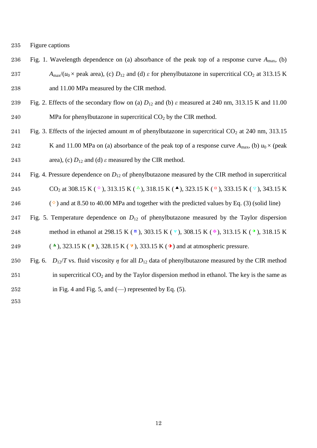235 Figure captions

- 236 Fig. 1. Wavelength dependence on (a) absorbance of the peak top of a response curve *A*max, (b) 237 *A<sub>max</sub>*/( $u_0$  × peak area), (c)  $D_{12}$  and (d)  $\varepsilon$  for phenylbutazone in supercritical CO<sub>2</sub> at 313.15 K 238 and 11.00 MPa measured by the CIR method.
- 239 Fig. 2. Effects of the secondary flow on (a)  $D_{12}$  and (b)  $\varepsilon$  measured at 240 nm, 313.15 K and 11.00 240 MPa for phenylbutazone in supercritical  $CO<sub>2</sub>$  by the CIR method.
- 241 Fig. 3. Effects of the injected amount *m* of phenylbutazone in supercritical  $CO_2$  at 240 nm, 313.15 242 K and 11.00 MPa on (a) absorbance of the peak top of a response curve  $A_{\text{max}}$ , (b)  $u_0 \times$  (peak 243 area), (c)  $D_{12}$  and (d)  $\varepsilon$  measured by the CIR method.
- 244 Fig. 4. Pressure dependence on *D*<sup>12</sup> of phenylbutazone measured by the CIR method in supercritical 245 CO<sub>2</sub> at 308.15 K ( $\circ$ ), 313.15 K ( $\triangle$ ), 318.15 K ( $\triangle$ ), 323.15 K ( $\circ$ ), 333.15 K ( $\vee$ ), 343.15 K
- 246  $\degree$  ) and at 8.50 to 40.00 MPa and together with the predicted values by Eq. (3) (solid line)
- 247 Fig. 5. Temperature dependence on *D*<sup>12</sup> of phenylbutazone measured by the Taylor dispersion 248 method in ethanol at 298.15 K ( <sup>®</sup> ), 303.15 K ( <sup>®</sup> ), 308.15 K ( <sup>®</sup> ), 313.15 K ( <sup>o</sup> ), 318.15 K
- 249 (A), 323.15 K ( $\blacksquare$ ), 328.15 K ( $\blacktriangledown$ ), 333.15 K ( $\lozenge$ ) and at atmospheric pressure.
- 250 Fig. 6.  $D_{12}/T$  vs. fluid viscosity  $\eta$  for all  $D_{12}$  data of phenylbutazone measured by the CIR method 251 in supercritical  $CO_2$  and by the Taylor dispersion method in ethanol. The key is the same as 252 in Fig. 4 and Fig. 5, and  $(-)$  represented by Eq. (5).
- 253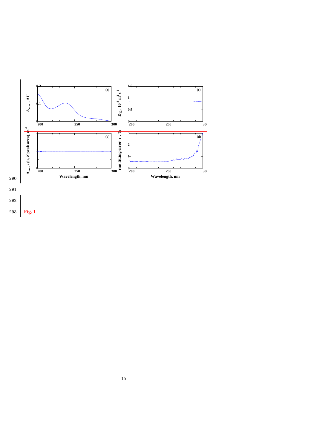

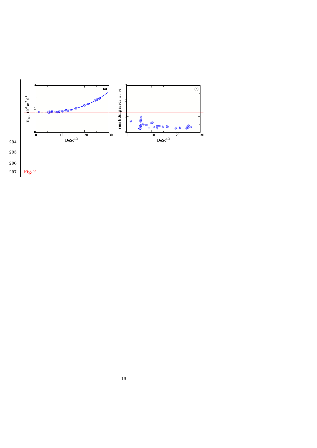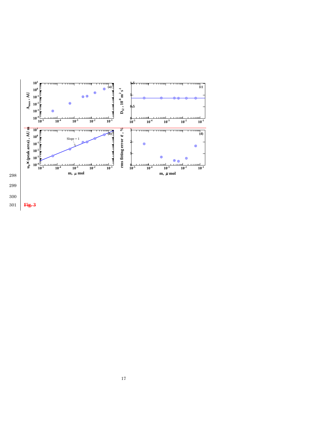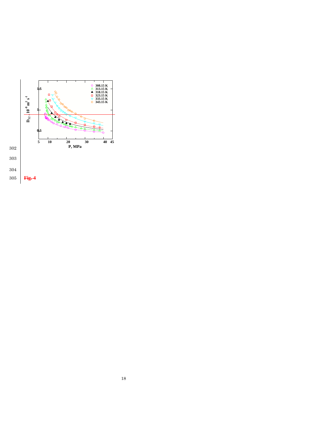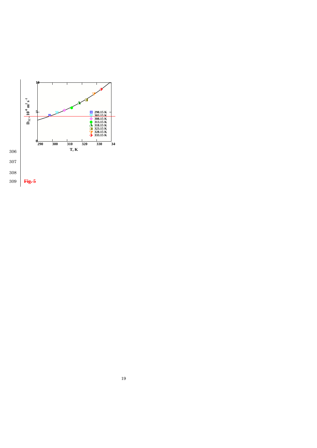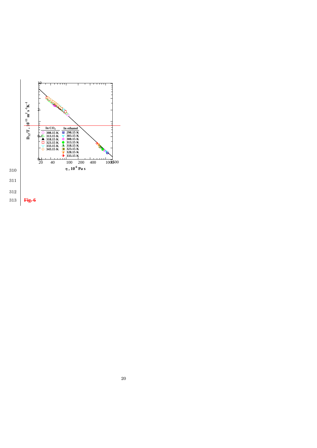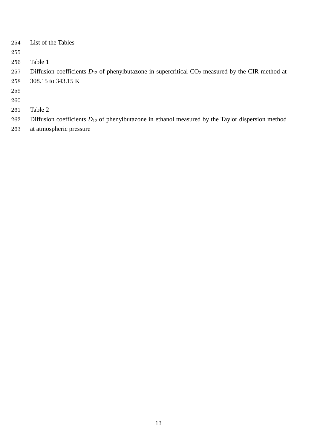| 254 | List of the Tables                                                                                      |
|-----|---------------------------------------------------------------------------------------------------------|
| 255 |                                                                                                         |
| 256 | Table 1                                                                                                 |
| 257 | Diffusion coefficients $D_{12}$ of phenylbutazone in supercritical $CO_2$ measured by the CIR method at |
| 258 | 308.15 to 343.15 K                                                                                      |
| 259 |                                                                                                         |
| 260 |                                                                                                         |
| 261 | Table 2                                                                                                 |
| 262 | Diffusion coefficients $D_{12}$ of phenylbutazone in ethanol measured by the Taylor dispersion method   |

at atmospheric pressure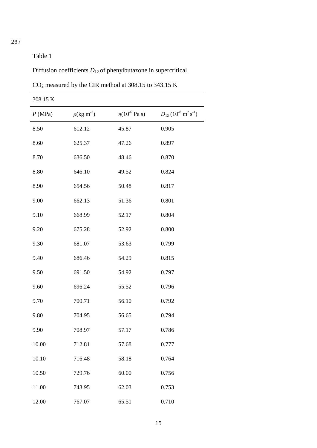## 267

## Table 1

Diffusion coefficients *D*12 of phenylbutazone in supercritical

CO<sup>2</sup> measured by the CIR method at 308.15 to 343.15 K

| 308.15 K |                          |                              |                                                             |
|----------|--------------------------|------------------------------|-------------------------------------------------------------|
| P(MPa)   | $\rho(\text{kg m}^{-3})$ | $\eta(10^{-6} \text{ Pa s})$ | $D_{12}$ (10 <sup>-8</sup> m <sup>2</sup> s <sup>-1</sup> ) |
| 8.50     | 612.12                   | 45.87                        | 0.905                                                       |
| 8.60     | 625.37                   | 47.26                        | 0.897                                                       |
| 8.70     | 636.50                   | 48.46                        | 0.870                                                       |
| 8.80     | 646.10                   | 49.52                        | 0.824                                                       |
| 8.90     | 654.56                   | 50.48                        | 0.817                                                       |
| 9.00     | 662.13                   | 51.36                        | 0.801                                                       |
| 9.10     | 668.99                   | 52.17                        | 0.804                                                       |
| 9.20     | 675.28                   | 52.92                        | 0.800                                                       |
| 9.30     | 681.07                   | 53.63                        | 0.799                                                       |
| 9.40     | 686.46                   | 54.29                        | 0.815                                                       |
| 9.50     | 691.50                   | 54.92                        | 0.797                                                       |
| 9.60     | 696.24                   | 55.52                        | 0.796                                                       |
| 9.70     | 700.71                   | 56.10                        | 0.792                                                       |
| 9.80     | 704.95                   | 56.65                        | 0.794                                                       |
| 9.90     | 708.97                   | 57.17                        | 0.786                                                       |
| 10.00    | 712.81                   | 57.68                        | 0.777                                                       |
| 10.10    | 716.48                   | 58.18                        | 0.764                                                       |
| 10.50    | 729.76                   | 60.00                        | 0.756                                                       |
| 11.00    | 743.95                   | 62.03                        | 0.753                                                       |
| 12.00    | 767.07                   | 65.51                        | 0.710                                                       |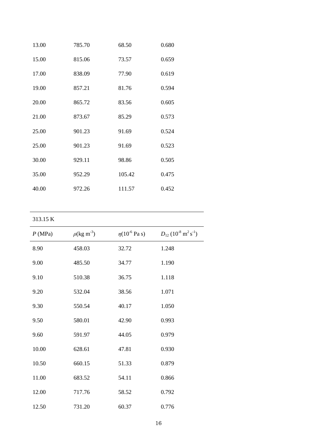| 13.00 | 785.70 | 68.50  | 0.680 |
|-------|--------|--------|-------|
| 15.00 | 815.06 | 73.57  | 0.659 |
| 17.00 | 838.09 | 77.90  | 0.619 |
| 19.00 | 857.21 | 81.76  | 0.594 |
| 20.00 | 865.72 | 83.56  | 0.605 |
| 21.00 | 873.67 | 85.29  | 0.573 |
| 25.00 | 901.23 | 91.69  | 0.524 |
| 25.00 | 901.23 | 91.69  | 0.523 |
| 30.00 | 929.11 | 98.86  | 0.505 |
| 35.00 | 952.29 | 105.42 | 0.475 |
| 40.00 | 972.26 | 111.57 | 0.452 |

| P(MPa) | $\rho(\text{kg m}^{-3})$ | $\eta(10^{-6} \text{ Pa s})$ | $D_{12}$ (10 <sup>-8</sup> m <sup>2</sup> s <sup>-1</sup> ) |
|--------|--------------------------|------------------------------|-------------------------------------------------------------|
| 8.90   | 458.03                   | 32.72                        | 1.248                                                       |
| 9.00   | 485.50                   | 34.77                        | 1.190                                                       |
| 9.10   | 510.38                   | 36.75                        | 1.118                                                       |
| 9.20   | 532.04                   | 38.56                        | 1.071                                                       |
| 9.30   | 550.54                   | 40.17                        | 1.050                                                       |
| 9.50   | 580.01                   | 42.90                        | 0.993                                                       |
| 9.60   | 591.97                   | 44.05                        | 0.979                                                       |
| 10.00  | 628.61                   | 47.81                        | 0.930                                                       |
| 10.50  | 660.15                   | 51.33                        | 0.879                                                       |
| 11.00  | 683.52                   | 54.11                        | 0.866                                                       |
| 12.00  | 717.76                   | 58.52                        | 0.792                                                       |
| 12.50  | 731.20                   | 60.37                        | 0.776                                                       |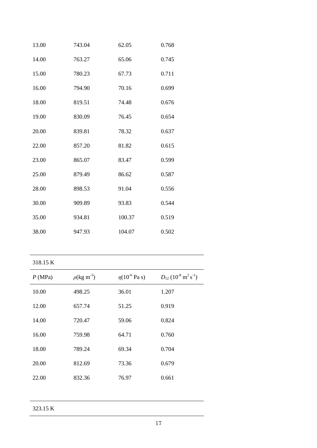| 13.00 | 743.04 | 62.05  | 0.768 |
|-------|--------|--------|-------|
| 14.00 | 763.27 | 65.06  | 0.745 |
| 15.00 | 780.23 | 67.73  | 0.711 |
| 16.00 | 794.90 | 70.16  | 0.699 |
| 18.00 | 819.51 | 74.48  | 0.676 |
| 19.00 | 830.09 | 76.45  | 0.654 |
| 20.00 | 839.81 | 78.32  | 0.637 |
| 22.00 | 857.20 | 81.82  | 0.615 |
| 23.00 | 865.07 | 83.47  | 0.599 |
| 25.00 | 879.49 | 86.62  | 0.587 |
| 28.00 | 898.53 | 91.04  | 0.556 |
| 30.00 | 909.89 | 93.83  | 0.544 |
| 35.00 | 934.81 | 100.37 | 0.519 |
| 38.00 | 947.93 | 104.07 | 0.502 |

| P(MPa) | $\rho(\text{kg m}^{-3})$ | $\eta(10^{-6} \text{ Pa s})$ | $D_{12}$ (10 <sup>-8</sup> m <sup>2</sup> s <sup>-1</sup> ) |
|--------|--------------------------|------------------------------|-------------------------------------------------------------|
| 10.00  | 498.25                   | 36.01                        | 1.207                                                       |
| 12.00  | 657.74                   | 51.25                        | 0.919                                                       |
| 14.00  | 720.47                   | 59.06                        | 0.824                                                       |
| 16.00  | 759.98                   | 64.71                        | 0.760                                                       |
| 18.00  | 789.24                   | 69.34                        | 0.704                                                       |
| 20.00  | 812.69                   | 73.36                        | 0.679                                                       |
| 22.00  | 832.36                   | 76.97                        | 0.661                                                       |
|        |                          |                              |                                                             |

323.15 K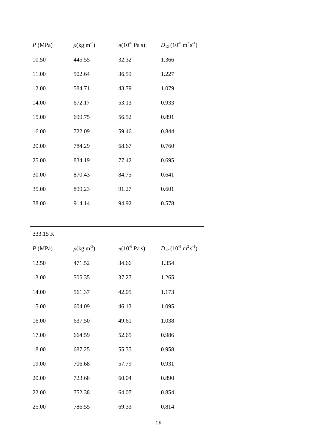| P(MPa) | $\rho(\text{kg m}^{-3})$ | $\eta(10^{-6} \text{ Pa s})$ | $D_{12}$ (10 <sup>-8</sup> m <sup>2</sup> s <sup>-1</sup> ) |
|--------|--------------------------|------------------------------|-------------------------------------------------------------|
| 10.50  | 445.55                   | 32.32                        | 1.366                                                       |
| 11.00  | 502.64                   | 36.59                        | 1.227                                                       |
| 12.00  | 584.71                   | 43.79                        | 1.079                                                       |
| 14.00  | 672.17                   | 53.13                        | 0.933                                                       |
| 15.00  | 699.75                   | 56.52                        | 0.891                                                       |
| 16.00  | 722.09                   | 59.46                        | 0.844                                                       |
| 20.00  | 784.29                   | 68.67                        | 0.760                                                       |
| 25.00  | 834.19                   | 77.42                        | 0.695                                                       |
| 30.00  | 870.43                   | 84.75                        | 0.641                                                       |
| 35.00  | 899.23                   | 91.27                        | 0.601                                                       |
| 38.00  | 914.14                   | 94.92                        | 0.578                                                       |

| P(MPa) | $\rho(\text{kg m}^{-3})$ | $\eta(10^{-6} \text{ Pa s})$ | $D_{12}$ (10 <sup>-8</sup> m <sup>2</sup> s <sup>-1</sup> ) |
|--------|--------------------------|------------------------------|-------------------------------------------------------------|
| 12.50  | 471.52                   | 34.66                        | 1.354                                                       |
| 13.00  | 505.35                   | 37.27                        | 1.265                                                       |
| 14.00  | 561.37                   | 42.05                        | 1.173                                                       |
| 15.00  | 604.09                   | 46.13                        | 1.095                                                       |
| 16.00  | 637.50                   | 49.61                        | 1.038                                                       |
| 17.00  | 664.59                   | 52.65                        | 0.986                                                       |
| 18.00  | 687.25                   | 55.35                        | 0.958                                                       |
| 19.00  | 706.68                   | 57.79                        | 0.931                                                       |
| 20.00  | 723.68                   | 60.04                        | 0.890                                                       |
| 22.00  | 752.38                   | 64.07                        | 0.854                                                       |
| 25.00  | 786.55                   | 69.33                        | 0.814                                                       |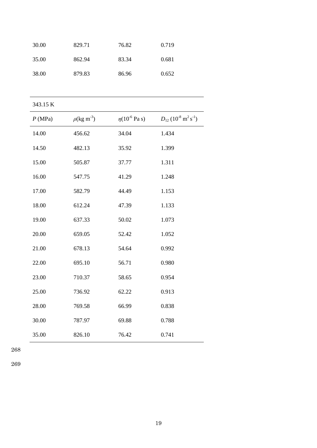| 30.00 | 829.71 | 76.82 | 0.719 |
|-------|--------|-------|-------|
| 35.00 | 862.94 | 83.34 | 0.681 |
| 38.00 | 879.83 | 86.96 | 0.652 |

| P(MPa) | $\rho(\text{kg m}^{-3})$ | $\eta(10^{-6} \text{ Pa s})$ | $D_{12}$ (10 <sup>-8</sup> m <sup>2</sup> s <sup>-1</sup> ) |
|--------|--------------------------|------------------------------|-------------------------------------------------------------|
| 14.00  | 456.62                   | 34.04                        | 1.434                                                       |
| 14.50  | 482.13                   | 35.92                        | 1.399                                                       |
| 15.00  | 505.87                   | 37.77                        | 1.311                                                       |
| 16.00  | 547.75                   | 41.29                        | 1.248                                                       |
| 17.00  | 582.79                   | 44.49                        | 1.153                                                       |
| 18.00  | 612.24                   | 47.39                        | 1.133                                                       |
| 19.00  | 637.33                   | 50.02                        | 1.073                                                       |
| 20.00  | 659.05                   | 52.42                        | 1.052                                                       |
| 21.00  | 678.13                   | 54.64                        | 0.992                                                       |
| 22.00  | 695.10                   | 56.71                        | 0.980                                                       |
| 23.00  | 710.37                   | 58.65                        | 0.954                                                       |
| 25.00  | 736.92                   | 62.22                        | 0.913                                                       |
| 28.00  | 769.58                   | 66.99                        | 0.838                                                       |
| 30.00  | 787.97                   | 69.88                        | 0.788                                                       |
| 35.00  | 826.10                   | 76.42                        | 0.741                                                       |

268